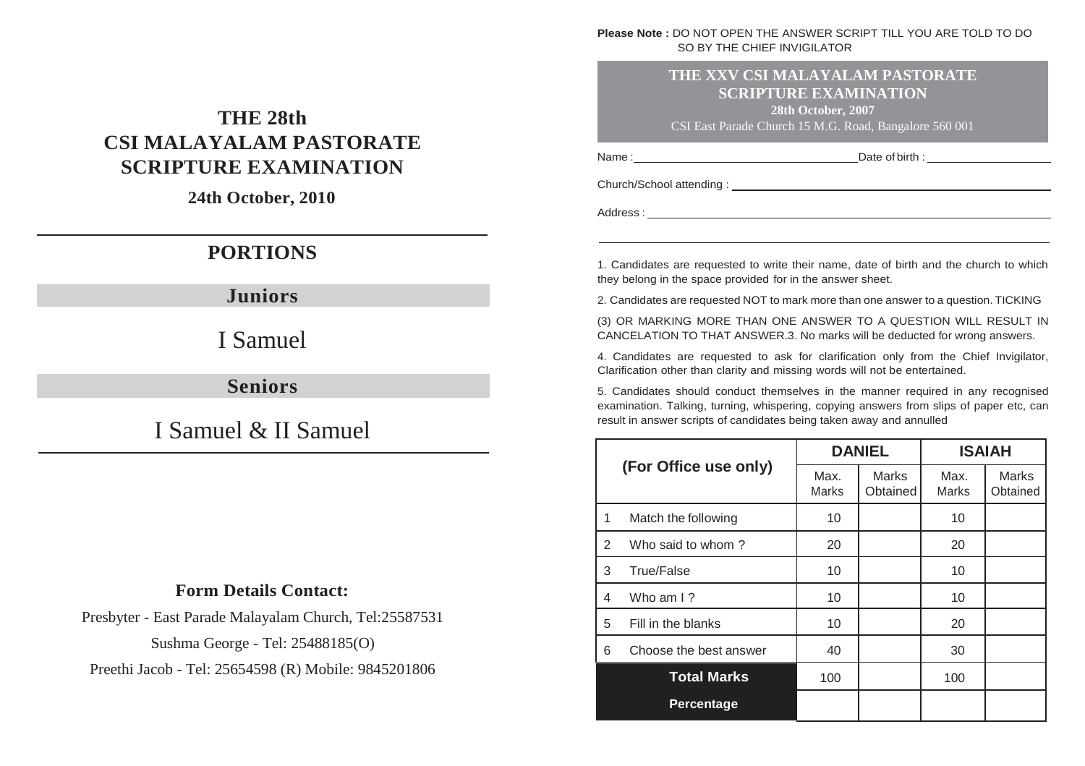#### **Please Note :** DO NOT OPEN THE ANSWER SCRIPT TILL YOU ARE TOLD TO DO SO BY THE CHIEF INVIGILATOR

#### **THE XXV CSI MALAYALAM PASTORATE SCRIPTURE EXAMINATION**

**28th October, 2007**

Name : Date of birth : CSI East Parade Church 15 M.G. Road, Bangalore 560 001

# **THE 28th CSI MALAYALAM PASTORATE SCRIPTURE EXAMINATION**

**24th October, 2010**

# **PORTIONS**

**Juniors**

I Samuel

**Seniors**

I Samuel & II Samuel

### **Form Details Contact:**

Presbyter - East Parade Malayalam Church, Tel:25587531

Sushma George - Tel: 25488185(O)

Preethi Jacob - Tel: 25654598 (R) Mobile: 9845201806

Church/School attending :

Address :

1. Candidates are requested to write their name, date of birth and the church to which they belong in the space provided for in the answer sheet.

2. Candidates are requested NOT to mark more than one answer to a question. TICKING

(3) OR MARKING MORE THAN ONE ANSWER TO A QUESTION WILL RESULT IN CANCELATION TO THAT ANSWER.3. No marks will be deducted for wrong answers.

4. Candidates are requested to ask for clarification only from the Chief Invigilator, Clarification other than clarity and missing words will not be entertained.

5. Candidates should conduct themselves in the manner required in any recognised examination. Talking, turning, whispering, copying answers from slips of paper etc, can result in answer scripts of candidates being taken away and annulled

|   |                        | <b>DANIEL</b> |                          | <b>ISAIAH</b> |                          |
|---|------------------------|---------------|--------------------------|---------------|--------------------------|
|   | (For Office use only)  | Max.<br>Marks | <b>Marks</b><br>Obtained | Max.<br>Marks | <b>Marks</b><br>Obtained |
| 1 | Match the following    | 10            |                          | 10            |                          |
| 2 | Who said to whom?      | 20            |                          | 20            |                          |
| 3 | True/False             | 10            |                          | 10            |                          |
| 4 | Who am $\frac{1}{2}$   | 10            |                          | 10            |                          |
| 5 | Fill in the blanks     | 10            |                          | 20            |                          |
| 6 | Choose the best answer | 40            |                          | 30            |                          |
|   | <b>Total Marks</b>     | 100           |                          | 100           |                          |
|   | Percentage             |               |                          |               |                          |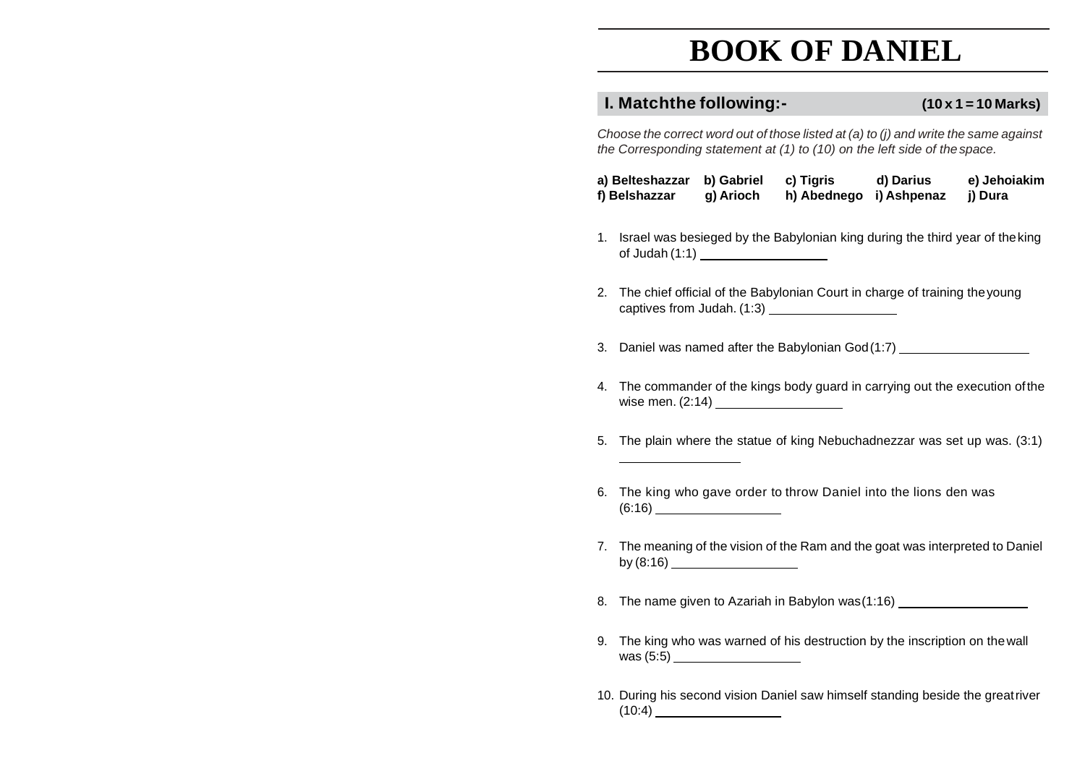# **BOOK OF DANIEL**

### **I. Matchthe following:- (10 x 1 = 10 Marks)**

*Choose the correct word out of those listed at (a) to (j) and write the same against the Corresponding statement at (1) to (10) on the left side of thespace.*

| a) Belteshazzar b) Gabriel |           | c) Tigris               | d) Darius | e) Jehoiakim |
|----------------------------|-----------|-------------------------|-----------|--------------|
| f) Belshazzar              | g) Arioch | h) Abednego i) Ashpenaz |           | i) Dura      |

- 1. Israel was besieged by the Babylonian king during the third year of theking of Judah (1:1)
- 2. The chief official of the Babylonian Court in charge of training theyoung captives from Judah. (1:3)
- 3. Daniel was named after the Babylonian God(1:7)
- 4. The commander of the kings body guard in carrying out the execution ofthe wise men. (2:14)
- 5. The plain where the statue of king Nebuchadnezzar was set up was. (3:1)
- 6. The king who gave order to throw Daniel into the lions den was (6:16)
- 7. The meaning of the vision of the Ram and the goat was interpreted to Daniel by (8:16)
- 8. The name given to Azariah in Babylon was(1:16)
- 9. The king who was warned of his destruction by the inscription on thewall was (5:5)
- 10. During his second vision Daniel saw himself standing beside the greatriver  $(10:4)$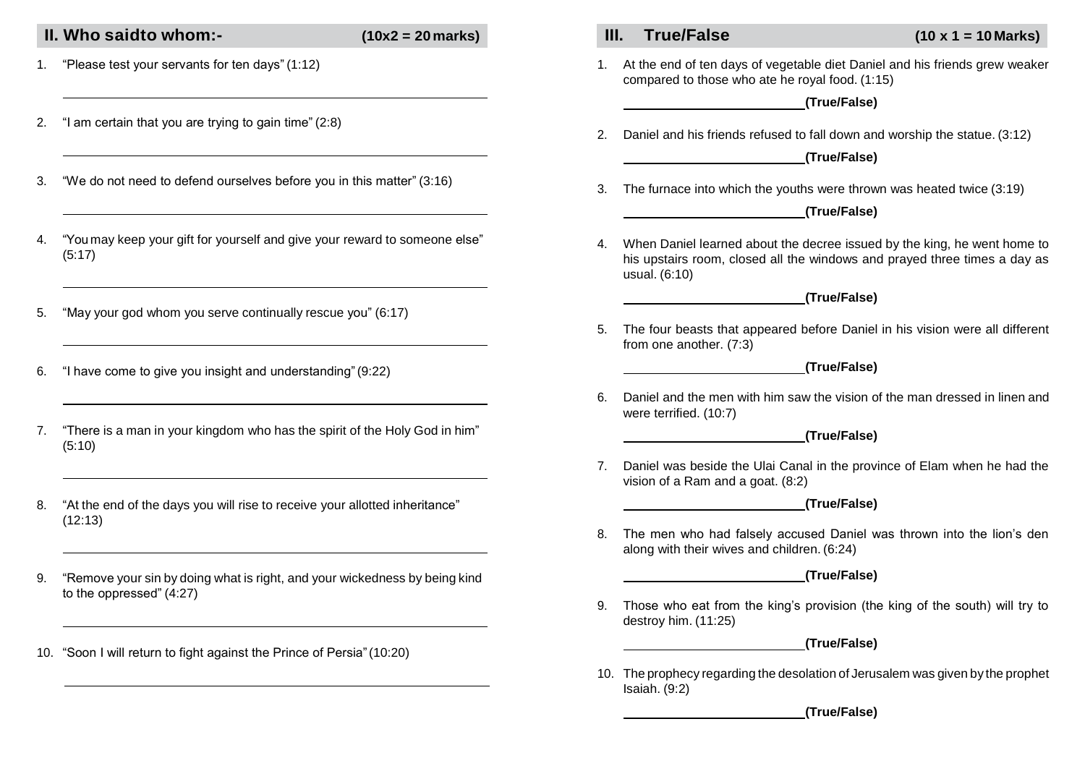### **II. Who saidto whom:- (10x2 = 20marks) III. True/False (10 x 1 = 10 Marks)**

- 1. "Please test your servants for ten days" (1:12)
- 2. "I am certain that you are trying to gain time" (2:8)
- 3. "We do not need to defend ourselves before you in this matter" (3:16)
- 4. "You may keep your gift for yourself and give your reward to someone else" (5:17)
- 5. "May your god whom you serve continually rescue you" (6:17)
- 6. "I have come to give you insight and understanding"(9:22)
- 7. "There is a man in your kingdom who has the spirit of the Holy God in him" (5:10)
- 8. "At the end of the days you will rise to receive your allotted inheritance" (12:13)
- 9. "Remove your sin by doing what is right, and your wickedness by being kind to the oppressed" (4:27)
- 10. "Soon I will return to fight against the Prince of Persia"(10:20)

1. At the end of ten days of vegetable diet Daniel and his friends grew weaker compared to those who ate he royal food. (1:15)

**(True/False)**

2. Daniel and his friends refused to fall down and worship the statue. (3:12)

**(True/False)**

3. The furnace into which the youths were thrown was heated twice (3:19)

#### **(True/False)**

4. When Daniel learned about the decree issued by the king, he went home to his upstairs room, closed all the windows and prayed three times a day as usual. (6:10)

#### **(True/False)**

5. The four beasts that appeared before Daniel in his vision were all different from one another. (7:3)

#### **(True/False)**

6. Daniel and the men with him saw the vision of the man dressed in linen and were terrified. (10:7)

#### **(True/False)**

7. Daniel was beside the Ulai Canal in the province of Elam when he had the vision of a Ram and a goat. (8:2)

#### **(True/False)**

8. The men who had falsely accused Daniel was thrown into the lion's den along with their wives and children. (6:24)

#### **(True/False)**

9. Those who eat from the king's provision (the king of the south) will try to destroy him. (11:25)

#### **(True/False)**

10. The prophecy regarding the desolation of Jerusalem was given by the prophet Isaiah. (9:2)

#### **(True/False)**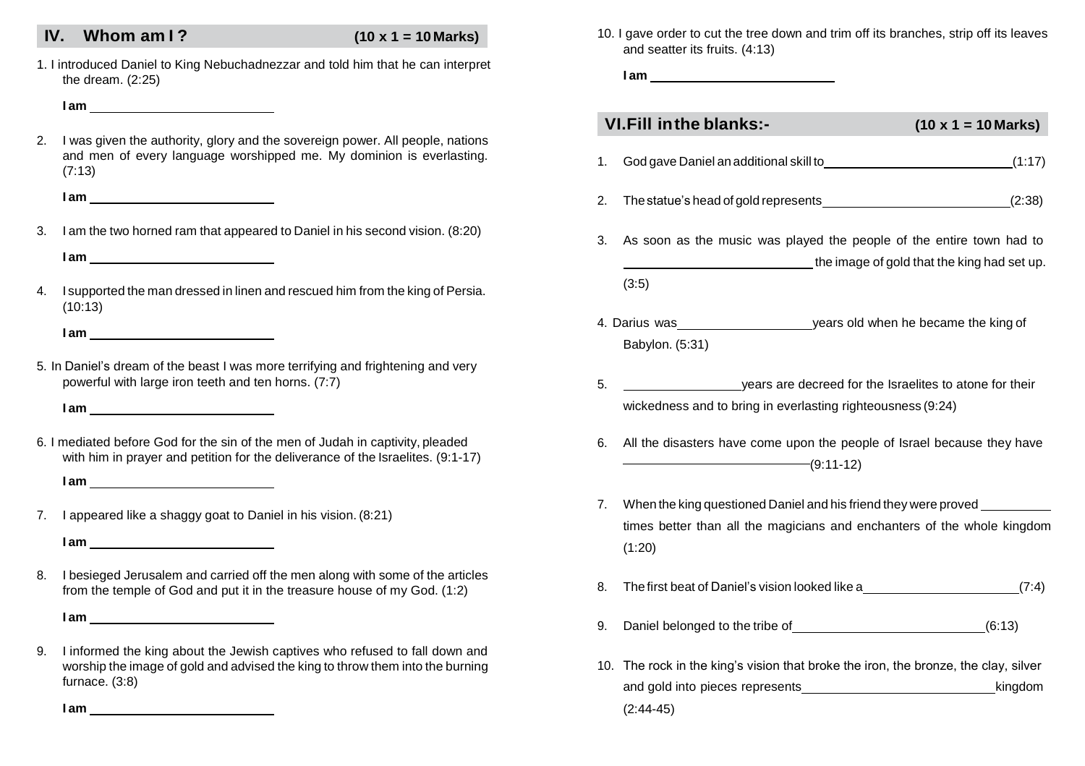### **IV. Whom am I ? (10 x 1 = 10 Marks)**

1. I introduced Daniel to King Nebuchadnezzar and told him that he can interpret the dream. (2:25)

#### **I am**

2. I was given the authority, glory and the sovereign power. All people, nations and men of every language worshipped me. My dominion is everlasting. (7:13)

**I am**

3. I am the two horned ram that appeared to Daniel in his second vision. (8:20)

**I am**

4. I supported the man dressed in linen and rescued him from the king of Persia. (10:13)

**I am**

5. In Daniel's dream of the beast I was more terrifying and frightening and very powerful with large iron teeth and ten horns. (7:7)

**I am**

6. I mediated before God for the sin of the men of Judah in captivity, pleaded with him in prayer and petition for the deliverance of the Israelites. (9:1-17)

**I am**

7. I appeared like a shaggy goat to Daniel in his vision. (8:21)

**I am**

8. I besieged Jerusalem and carried off the men along with some of the articles from the temple of God and put it in the treasure house of my God. (1:2)

**I am**

9. I informed the king about the Jewish captives who refused to fall down and worship the image of gold and advised the king to throw them into the burning furnace. (3:8)

10. I gave order to cut the tree down and trim off its branches, strip off its leaves and seatter its fruits. (4:13)

**I am**

|    | <b>VI.Fill in the blanks:-</b>                                                                                                                                | $(10 \times 1 = 10 \text{ Marks})$ |
|----|---------------------------------------------------------------------------------------------------------------------------------------------------------------|------------------------------------|
| 1. | God gave Daniel an additional skill to example the state of the state (1:17)                                                                                  |                                    |
| 2. | The statue's head of gold represents (2:38)                                                                                                                   |                                    |
| 3. | As soon as the music was played the people of the entire town had to<br>the image of gold that the king had set up.                                           |                                    |
|    | (3:5)                                                                                                                                                         |                                    |
|    | 4. Darius was <u>entitled a series of vectors</u> years old when he became the king of<br>Babylon. (5:31)                                                     |                                    |
| 5. | years are decreed for the Israelites to atone for their<br>wickedness and to bring in everlasting righteousness (9:24)                                        |                                    |
| 6. | All the disasters have come upon the people of Israel because they have<br>$-$ (9:11-12)                                                                      |                                    |
| 7. | When the king questioned Daniel and his friend they were proved ________<br>times better than all the magicians and enchanters of the whole kingdom<br>(1:20) |                                    |
| 8. | The first beat of Daniel's vision looked like a _________________________________(7:4)                                                                        |                                    |
| 9. | Daniel belonged to the tribe of (6:13)                                                                                                                        |                                    |
|    | 10. The rock in the king's vision that broke the iron, the bronze, the clay, silver<br>and gold into pieces represents                                        | kingdom                            |
|    | $(2:44-45)$                                                                                                                                                   |                                    |

**I am**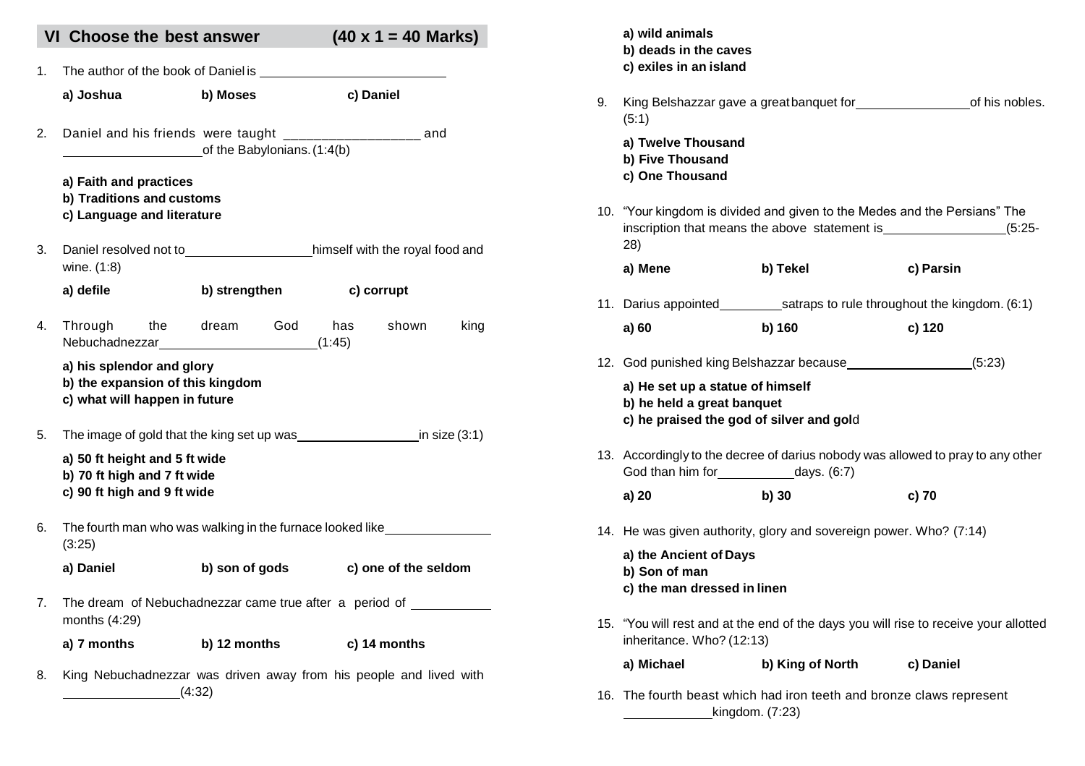|    | VI Choose the best answer                                                                      |                                                                                              | $(40 \times 1 = 40$ Marks)                                         |
|----|------------------------------------------------------------------------------------------------|----------------------------------------------------------------------------------------------|--------------------------------------------------------------------|
| 1. |                                                                                                | The author of the book of Daniel is                                                          |                                                                    |
|    | a) Joshua                                                                                      | b) Moses                                                                                     | c) Daniel                                                          |
|    |                                                                                                | Daniel and his friends were taught ______________________ and<br>of the Babylonians. (1:4(b) |                                                                    |
|    | a) Faith and practices<br>b) Traditions and customs<br>c) Language and literature              |                                                                                              |                                                                    |
|    | wine. (1:8)                                                                                    |                                                                                              | Daniel resolved not to himself with the royal food and             |
|    | a) defile                                                                                      | b) strengthen                                                                                | c) corrupt                                                         |
|    |                                                                                                | Through the dream God<br>Nebuchadnezzar (1:45)                                               | shown<br>has<br>king                                               |
|    | a) his splendor and glory<br>b) the expansion of this kingdom<br>c) what will happen in future |                                                                                              |                                                                    |
|    |                                                                                                |                                                                                              |                                                                    |
|    | a) 50 ft height and 5 ft wide<br>b) 70 ft high and 7 ft wide<br>c) 90 ft high and 9 ft wide    |                                                                                              |                                                                    |
| 6. | (3:25)                                                                                         |                                                                                              | The fourth man who was walking in the furnace looked like          |
|    | a) Daniel                                                                                      | b) son of gods                                                                               | c) one of the seldom                                               |
|    | months (4:29)                                                                                  |                                                                                              | The dream of Nebuchadnezzar came true after a period of            |
|    | a) 7 months b) 12 months                                                                       |                                                                                              | c) 14 months                                                       |
|    |                                                                                                | (4:32)                                                                                       | King Nebuchadnezzar was driven away from his people and lived with |

|    | a) wild animals<br>b) deads in the caves<br>c) exiles in an island                                         |                                                                                 |                                                                                      |
|----|------------------------------------------------------------------------------------------------------------|---------------------------------------------------------------------------------|--------------------------------------------------------------------------------------|
| 9. | (5:1)                                                                                                      |                                                                                 | King Belshazzar gave a greatbanquet for<br>letter states and this nobles.            |
|    | a) Twelve Thousand<br>b) Five Thousand<br>c) One Thousand                                                  |                                                                                 |                                                                                      |
|    | (28)                                                                                                       | 10. "Your kingdom is divided and given to the Medes and the Persians" The       |                                                                                      |
|    | a) Mene                                                                                                    | b) Tekel                                                                        | c) Parsin                                                                            |
|    |                                                                                                            |                                                                                 |                                                                                      |
|    | a) 60                                                                                                      | b) 160                                                                          | c) 120                                                                               |
|    |                                                                                                            |                                                                                 |                                                                                      |
|    | a) He set up a statue of himself<br>b) he held a great banquet<br>c) he praised the god of silver and gold |                                                                                 |                                                                                      |
|    |                                                                                                            | 13. Accordingly to the decree of darius nobody was allowed to pray to any other |                                                                                      |
|    | a) 20                                                                                                      | b) 30                                                                           | c) 70                                                                                |
|    |                                                                                                            | 14. He was given authority, glory and sovereign power. Who? (7:14)              |                                                                                      |
|    | a) the Ancient of Days<br>b) Son of man<br>c) the man dressed in linen                                     |                                                                                 |                                                                                      |
|    | inheritance. Who? (12:13)                                                                                  |                                                                                 | 15. "You will rest and at the end of the days you will rise to receive your allotted |
|    | a) Michael                                                                                                 | b) King of North c) Daniel                                                      |                                                                                      |
|    |                                                                                                            |                                                                                 |                                                                                      |

16. The fourth beast which had iron teeth and bronze claws represent kingdom. (7:23)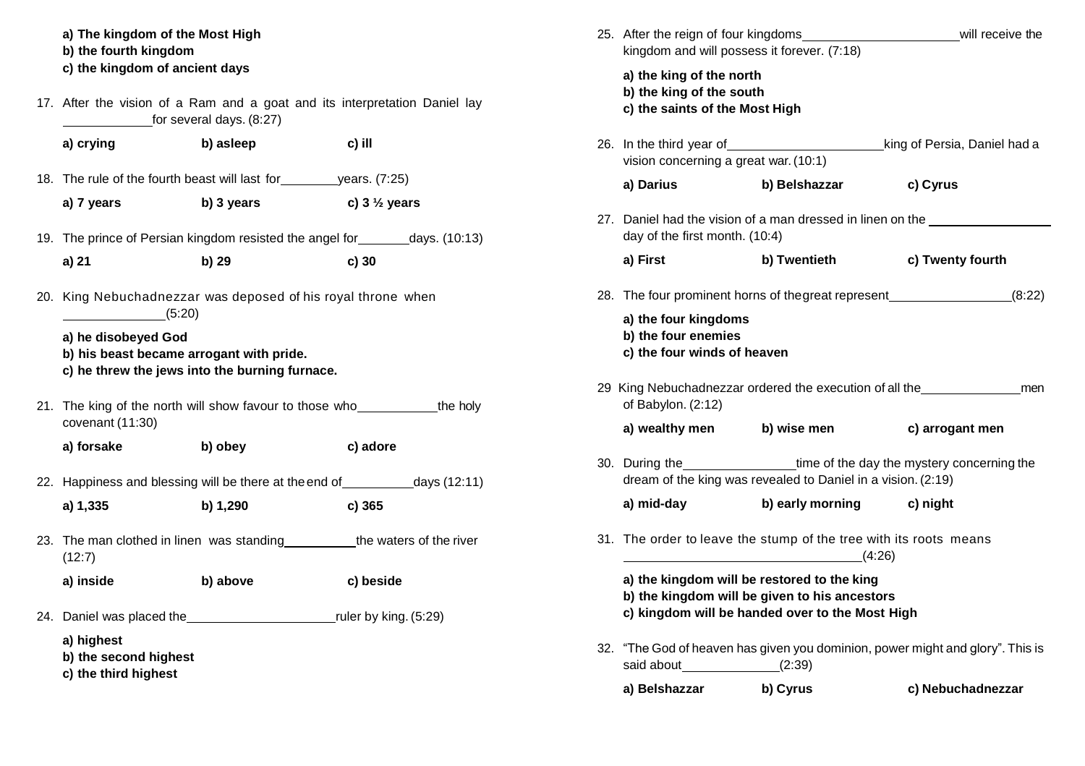**a) The kingdom of the Most High b) the fourth kingdom c) the kingdom of ancient days**

17. After the vision of a Ram and a goat and its interpretation Daniel lay for several days. (8:27)

| a) crying                                      | b) asleep                                                | c) ill                  |
|------------------------------------------------|----------------------------------------------------------|-------------------------|
| 18. The rule of the fourth beast will last for |                                                          | vears. (7:25)           |
| a) 7 years                                     | b) 3 years                                               | c) $3\frac{1}{2}$ years |
|                                                | 19. The prince of Persian kingdom resisted the angel for | days. (10:13)           |
| a) 21                                          | b) 29                                                    | c)30                    |
|                                                |                                                          |                         |

20. King Nebuchadnezzar was deposed of his royal throne when  $(5:20)$ 

**a) he disobeyed God**

- **b) his beast became arrogant with pride.**
- **c) he threw the jews into the burning furnace.**
- 21. The king of the north will show favour to those who the holy covenant (11:30)

**a) forsake b) obey c) adore**

- 22. Happiness and blessing will be there at the end of days (12:11) **a) 1,335 b) 1,290 c) 365**
- 23. The man clothed in linen was standing the waters of the river (12:7)

**a) inside b) above c) beside**

24. Daniel was placed the ruler by king. (5:29)

**a) highest**

**b) the second highest**

**c) the third highest**

| 25. After the reign of four kingdoms<br>will receive the<br>kingdom and will possess it forever. (7:18) |                                                                                                                                                 |                                                                                                                           |                                                                                  |  |  |  |  |
|---------------------------------------------------------------------------------------------------------|-------------------------------------------------------------------------------------------------------------------------------------------------|---------------------------------------------------------------------------------------------------------------------------|----------------------------------------------------------------------------------|--|--|--|--|
|                                                                                                         | a) the king of the north<br>b) the king of the south<br>c) the saints of the Most High                                                          |                                                                                                                           |                                                                                  |  |  |  |  |
|                                                                                                         | 26. In the third year of<br>vision concerning a great war. (10:1)                                                                               |                                                                                                                           | king of Persia, Daniel had a                                                     |  |  |  |  |
|                                                                                                         | a) Darius                                                                                                                                       | b) Belshazzar                                                                                                             | c) Cyrus                                                                         |  |  |  |  |
|                                                                                                         | 27. Daniel had the vision of a man dressed in linen on the ______________<br>day of the first month. (10:4)                                     |                                                                                                                           |                                                                                  |  |  |  |  |
|                                                                                                         | a) First                                                                                                                                        | b) Twentieth                                                                                                              | c) Twenty fourth                                                                 |  |  |  |  |
|                                                                                                         |                                                                                                                                                 |                                                                                                                           | 28. The four prominent horns of the great represent (8:22)                       |  |  |  |  |
|                                                                                                         | a) the four kingdoms<br>b) the four enemies<br>c) the four winds of heaven                                                                      |                                                                                                                           |                                                                                  |  |  |  |  |
|                                                                                                         | of Babylon. (2:12)                                                                                                                              |                                                                                                                           | 29 King Nebuchadnezzar ordered the execution of all the ________________________ |  |  |  |  |
|                                                                                                         | a) wealthy men b) wise men                                                                                                                      |                                                                                                                           | c) arrogant men                                                                  |  |  |  |  |
|                                                                                                         |                                                                                                                                                 | 30. During the time of the day the mystery concerning the<br>dream of the king was revealed to Daniel in a vision. (2:19) |                                                                                  |  |  |  |  |
|                                                                                                         | a) mid-day                                                                                                                                      | b) early morning c) night                                                                                                 |                                                                                  |  |  |  |  |
|                                                                                                         |                                                                                                                                                 | 31. The order to leave the stump of the tree with its roots means<br>(4:26)                                               |                                                                                  |  |  |  |  |
|                                                                                                         | a) the kingdom will be restored to the king<br>b) the kingdom will be given to his ancestors<br>c) kingdom will be handed over to the Most High |                                                                                                                           |                                                                                  |  |  |  |  |
| 32.                                                                                                     | said about (2:39)                                                                                                                               |                                                                                                                           | "The God of heaven has given you dominion, power might and glory". This is       |  |  |  |  |
|                                                                                                         | a) Belshazzar                                                                                                                                   | b) Cyrus                                                                                                                  | c) Nebuchadnezzar                                                                |  |  |  |  |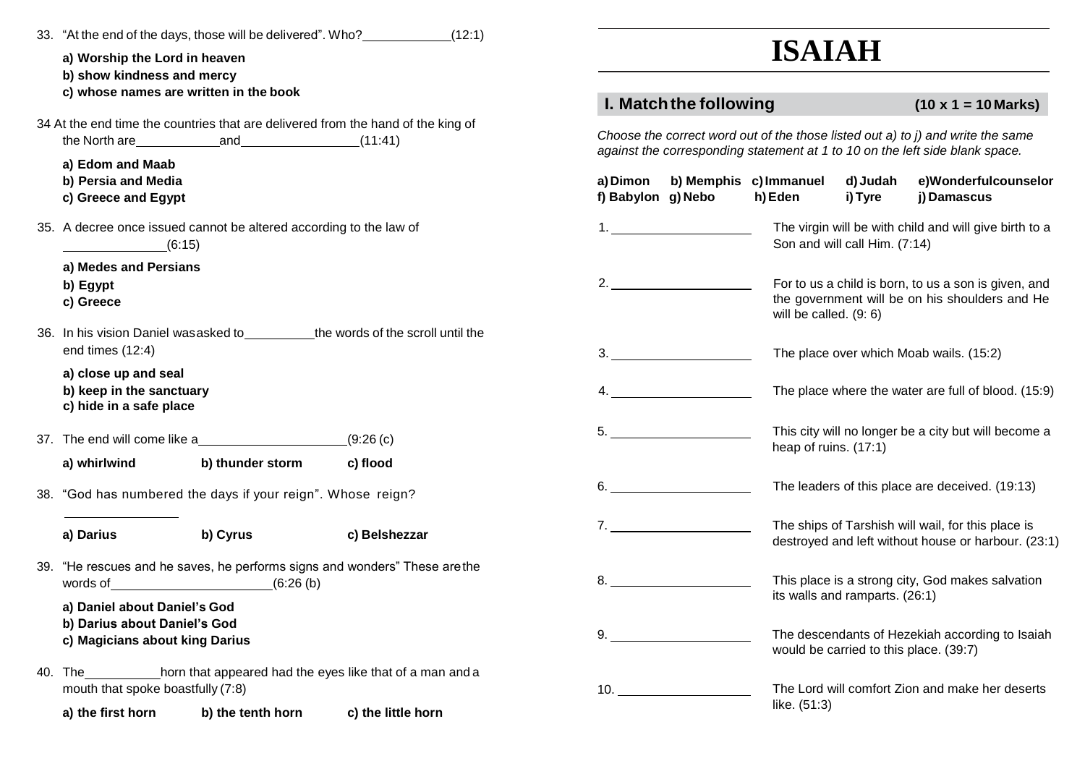| 33. "At the end of the days, those will be delivered". Who? (12:1)<br>a) Worship the Lord in heaven<br>b) show kindness and mercy |                   |                    | <b>ISAIAH</b>         |                        |                                                 |                                                        |                                                                                                                                                                 |
|-----------------------------------------------------------------------------------------------------------------------------------|-------------------|--------------------|-----------------------|------------------------|-------------------------------------------------|--------------------------------------------------------|-----------------------------------------------------------------------------------------------------------------------------------------------------------------|
| c) whose names are written in the book                                                                                            |                   |                    |                       | I. Match the following |                                                 |                                                        | $(10 \times 1 = 10 \text{ Marks})$                                                                                                                              |
| 34 At the end time the countries that are delivered from the hand of the king of<br>the North are $and$ (11:41)                   |                   |                    |                       |                        |                                                 |                                                        | Choose the correct word out of the those listed out a) to j) and write the same<br>against the corresponding statement at 1 to 10 on the left side blank space. |
| a) Edom and Maab<br>b) Persia and Media<br>c) Greece and Egypt                                                                    |                   |                    | f) Babylon g) Nebo    |                        | a) Dimon b) Memphis c) Immanuel<br>h) Eden      | d) Judah<br>i) Tyre                                    | e)Wonderfulcounselor<br>i) Damascus                                                                                                                             |
| 35. A decree once issued cannot be altered according to the law of<br>(6:15)                                                      |                   |                    |                       |                        | Son and will call Him. (7:14)                   | The virgin will be with child and will give birth to a |                                                                                                                                                                 |
| a) Medes and Persians<br>b) Egypt<br>c) Greece                                                                                    |                   |                    | 2.                    |                        | will be called. $(9:6)$                         |                                                        | For to us a child is born, to us a son is given, and<br>the government will be on his shoulders and He                                                          |
| 36. In his vision Daniel was asked to the words of the scroll until the<br>end times (12:4)                                       |                   |                    |                       | 3.                     |                                                 |                                                        | The place over which Moab wails. (15:2)                                                                                                                         |
| a) close up and seal<br>b) keep in the sanctuary<br>c) hide in a safe place                                                       |                   |                    |                       |                        |                                                 |                                                        | The place where the water are full of blood. (15:9)                                                                                                             |
| 37. The end will come like a                                                                                                      |                   | (9:26(c)           |                       |                        | heap of ruins. (17:1)                           |                                                        | This city will no longer be a city but will become a                                                                                                            |
| a) whirlwind<br>38. "God has numbered the days if your reign". Whose reign?                                                       | b) thunder storm  | c) flood           | 6.                    |                        | The leaders of this place are deceived. (19:13) |                                                        |                                                                                                                                                                 |
| b) Cyrus<br>a) Darius                                                                                                             |                   | c) Belshezzar      | 7.                    |                        |                                                 |                                                        | The ships of Tarshish will wail, for this place is<br>destroyed and left without house or harbour. (23:1)                                                       |
| 39. "He rescues and he saves, he performs signs and wonders" These are the<br>words of $(6:26(b))$                                |                   |                    | 8.                    |                        |                                                 | its walls and ramparts. (26:1)                         | This place is a strong city, God makes salvation                                                                                                                |
| a) Daniel about Daniel's God<br>b) Darius about Daniel's God<br>c) Magicians about king Darius                                    |                   |                    | 9.                    |                        |                                                 |                                                        | The descendants of Hezekiah according to Isaiah<br>would be carried to this place. (39:7)                                                                       |
| 40. The horn that appeared had the eyes like that of a man and a<br>mouth that spoke boastfully (7:8)                             |                   |                    | $10.$ $\qquad \qquad$ |                        |                                                 |                                                        | The Lord will comfort Zion and make her deserts                                                                                                                 |
| a) the first horn                                                                                                                 | b) the tenth horn | c) the little horn |                       |                        | like. (51:3)                                    |                                                        |                                                                                                                                                                 |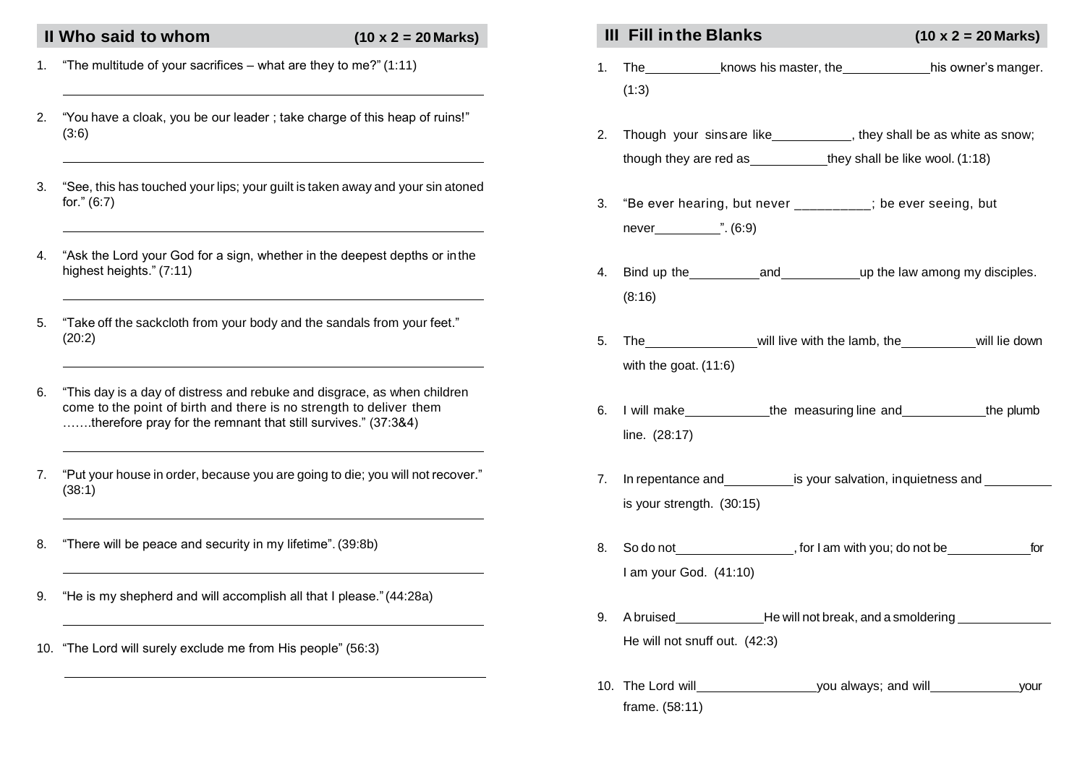- 1. "The multitude of your sacrifices what are they to me?" (1:11)
- 2. "You have a cloak, you be our leader ; take charge of this heap of ruins!" (3:6)
- 3. "See, this has touched your lips; your guilt is taken away and your sin atoned for." (6:7)
- 4. "Ask the Lord your God for a sign, whether in the deepest depths or inthe highest heights." (7:11)
- 5. "Take off the sackcloth from your body and the sandals from your feet." (20:2)
- 6. "This day is a day of distress and rebuke and disgrace, as when children come to the point of birth and there is no strength to deliver them …….therefore pray for the remnant that still survives." (37:3&4)
- 7. "Put your house in order, because you are going to die; you will not recover." (38:1)
- 8. "There will be peace and security in my lifetime". (39:8b)
- 9. "He is my shepherd and will accomplish all that I please."(44:28a)
- 10. "The Lord will surely exclude me from His people" (56:3)

## II Who said to whom  $(10 \times 2 = 20 \text{ Marks})$  **III Fill in the Blanks**  $(10 \times 2 = 20 \text{Marks})$

- 1. The knows his master, the his owner's manger. (1:3)
- 2. Though your sinsare like , they shall be as white as snow; though they are red as they shall be like wool. (1:18)
- 3. "Be ever hearing, but never \_\_\_\_\_\_\_\_\_\_; be ever seeing, but never ". (6:9)
- 4. Bind up the and up the law among my disciples. (8:16)
- 5. The will live with the lamb, the will lie down with the goat. (11:6)
- 6. I will make the measuring line and the plumb line. (28:17)
- 7. In repentance and is your salvation, inquietness and is your strength. (30:15)
- 8. So do not **South Contract Contract Contract Contract Contract Contract Contract Contract Contract Contract Contract Contract Contract Contract Contract Contract Contract Contract Contract Contract Contract Contract Cont** I am your God. (41:10)
- 9. A bruised He will not break, and a smoldering He will not snuff out. (42:3)
- 10. The Lord will view you always; and will your frame. (58:11)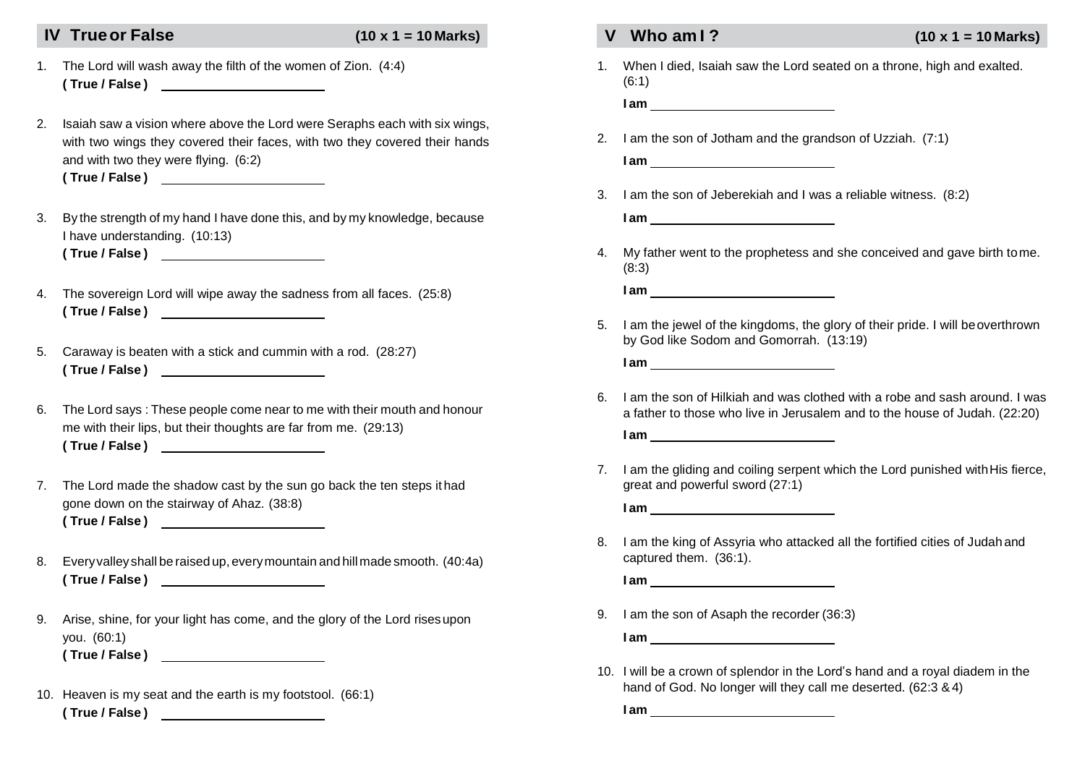### **IV Trueor False (10 x 1 = 10 Marks) V Who am I ? (10 x 1 = 10 Marks)**

- 1. The Lord will wash away the filth of the women of Zion. (4:4) **( True / False )**
- 2. Isaiah saw a vision where above the Lord were Seraphs each with six wings, with two wings they covered their faces, with two they covered their hands and with two they were flying. (6:2) **( True / False )**
- 3. By the strength of my hand I have done this, and by my knowledge, because I have understanding. (10:13) **( True / False )**
- 4. The sovereign Lord will wipe away the sadness from all faces. (25:8) **( True / False )**
- 5. Caraway is beaten with a stick and cummin with a rod. (28:27) **( True / False )**
- 6. The Lord says : These people come near to me with their mouth and honour me with their lips, but their thoughts are far from me. (29:13) **( True / False )**
- 7. The Lord made the shadow cast by the sun go back the ten steps it had gone down on the stairway of Ahaz. (38:8) **( True / False )**
- 8. Everyvalley shall be raised up, everymountain and hill made smooth. (40:4a) **( True / False )**
- 9. Arise, shine, for your light has come, and the glory of the Lord risesupon you. (60:1) **( True / False )**

10. Heaven is my seat and the earth is my footstool. (66:1) **( True / False )** 

1. When I died, Isaiah saw the Lord seated on a throne, high and exalted. (6:1)

**I am**

- 2. I am the son of Jotham and the grandson of Uzziah. (7:1)
	- **I am**
- 3. I am the son of Jeberekiah and I was a reliable witness. (8:2)

**I am**

4. My father went to the prophetess and she conceived and gave birth tome. (8:3)

**I am**

5. I am the jewel of the kingdoms, the glory of their pride. I will beoverthrown by God like Sodom and Gomorrah. (13:19)

**I am**

6. I am the son of Hilkiah and was clothed with a robe and sash around. I was a father to those who live in Jerusalem and to the house of Judah. (22:20)

**I am**

7. I am the gliding and coiling serpent which the Lord punished withHis fierce, great and powerful sword (27:1)

**I am**

8. I am the king of Assyria who attacked all the fortified cities of Judah and captured them. (36:1).

**I am**

9. I am the son of Asaph the recorder (36:3)

**I am**

10. I will be a crown of splendor in the Lord's hand and a royal diadem in the hand of God. No longer will they call me deserted. (62:3 &4)

**I am**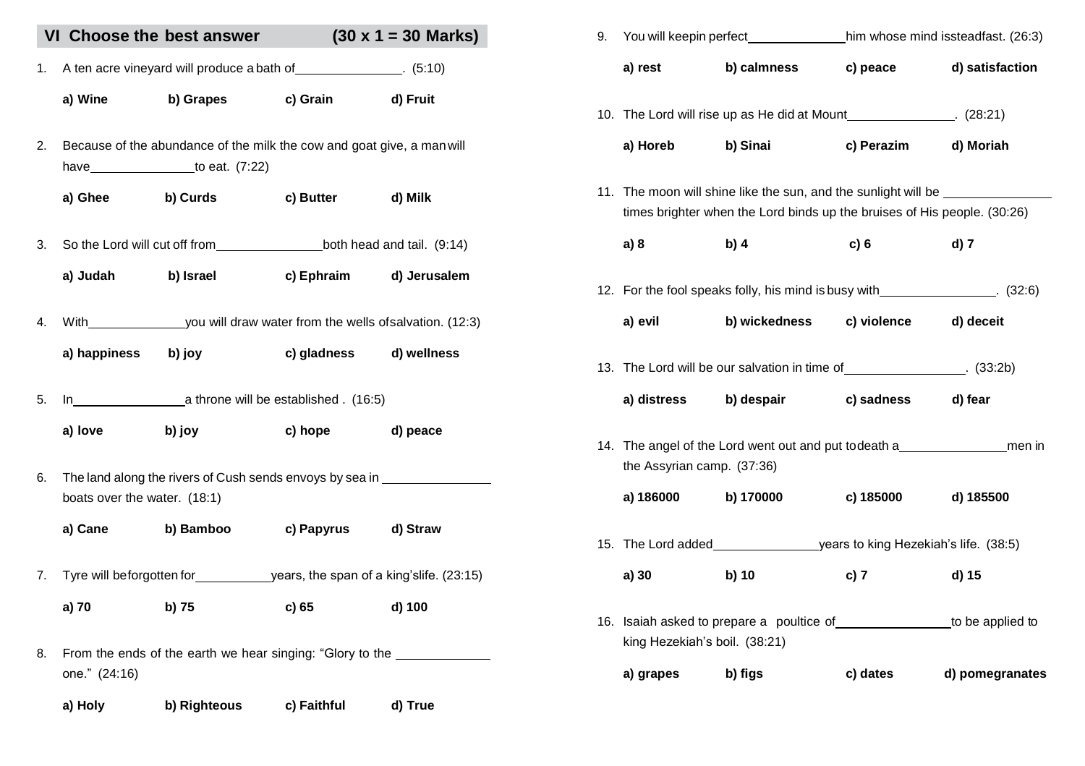|    |                              | VI Choose the best answer $(30 \times 1 = 30 \text{ Marks})$                                  |                                   |         |
|----|------------------------------|-----------------------------------------------------------------------------------------------|-----------------------------------|---------|
| 1. |                              | A ten acre vineyard will produce a bath of ______________. (5:10)                             |                                   |         |
|    | a) Wine                      |                                                                                               | b) Grapes c) Grain d) Fruit       |         |
| 2. |                              | Because of the abundance of the milk the cow and goat give, a man will<br>have to eat. (7:22) |                                   |         |
|    |                              | a) Ghee b) Curds c) Butter d) Milk                                                            |                                   |         |
| 3. |                              |                                                                                               |                                   |         |
|    | a) Judah                     |                                                                                               | b) Israel c) Ephraim d) Jerusalem |         |
| 4. |                              | With you will draw water from the wells of salvation. (12:3)                                  |                                   |         |
|    | a) happiness                 | b) joy                                                                                        | c) gladness d) wellness           |         |
| 5. |                              |                                                                                               |                                   |         |
|    | a) love                      |                                                                                               | b) joy c) hope d) peace           |         |
| 6. | boats over the water. (18:1) | The land along the rivers of Cush sends envoys by sea in _______________________              |                                   |         |
|    |                              | a) Cane b) Bamboo c) Papyrus d) Straw                                                         |                                   |         |
| 7. |                              | Tyre will beforgotten for years, the span of a king's life. (23:15)                           |                                   |         |
|    | a) 70                        | b) 75                                                                                         | c) 65                             | d) 100  |
| 8. | one." (24:16)                | From the ends of the earth we hear singing: "Glory to the                                     |                                   |         |
|    |                              | a) Holy b) Righteous c) Faithful                                                              |                                   | d) True |

| 9. |                               |                                                                                                                                            |                          |                 |  |
|----|-------------------------------|--------------------------------------------------------------------------------------------------------------------------------------------|--------------------------|-----------------|--|
|    | a) rest                       | b) calmness                                                                                                                                | c) peace d) satisfaction |                 |  |
|    |                               | 10. The Lord will rise up as He did at Mount ______________. (28:21)                                                                       |                          |                 |  |
|    | a) Horeb                      | b) Sinai                                                                                                                                   | c) Perazim d) Moriah     |                 |  |
|    |                               | 11. The moon will shine like the sun, and the sunlight will be<br>times brighter when the Lord binds up the bruises of His people. (30:26) |                          |                 |  |
|    | a) 8                          | b) 4                                                                                                                                       | c)6                      | d) 7            |  |
|    |                               | 12. For the fool speaks folly, his mind is busy with ________________. (32:6)                                                              |                          |                 |  |
|    | a) evil                       | b) wickedness c) violence d) deceit                                                                                                        |                          |                 |  |
|    |                               | 13. The Lord will be our salvation in time of ________________. (33:2b)                                                                    |                          |                 |  |
|    |                               | a) distress b) despair c) sadness d) fear                                                                                                  |                          |                 |  |
|    | the Assyrian camp. (37:36)    | 14. The angel of the Lord went out and put todeath a member of men in                                                                      |                          |                 |  |
|    | a) 186000 b) 170000           |                                                                                                                                            | c) 185000                | d) 185500       |  |
|    |                               |                                                                                                                                            |                          |                 |  |
|    | a) 30                         | b) 10                                                                                                                                      | c) 7                     | d) 15           |  |
|    | king Hezekiah's boil. (38:21) | 16. Isaiah asked to prepare a poultice of _________________to be applied to                                                                |                          |                 |  |
|    | a) grapes                     | b) figs                                                                                                                                    | c) dates                 | d) pomegranates |  |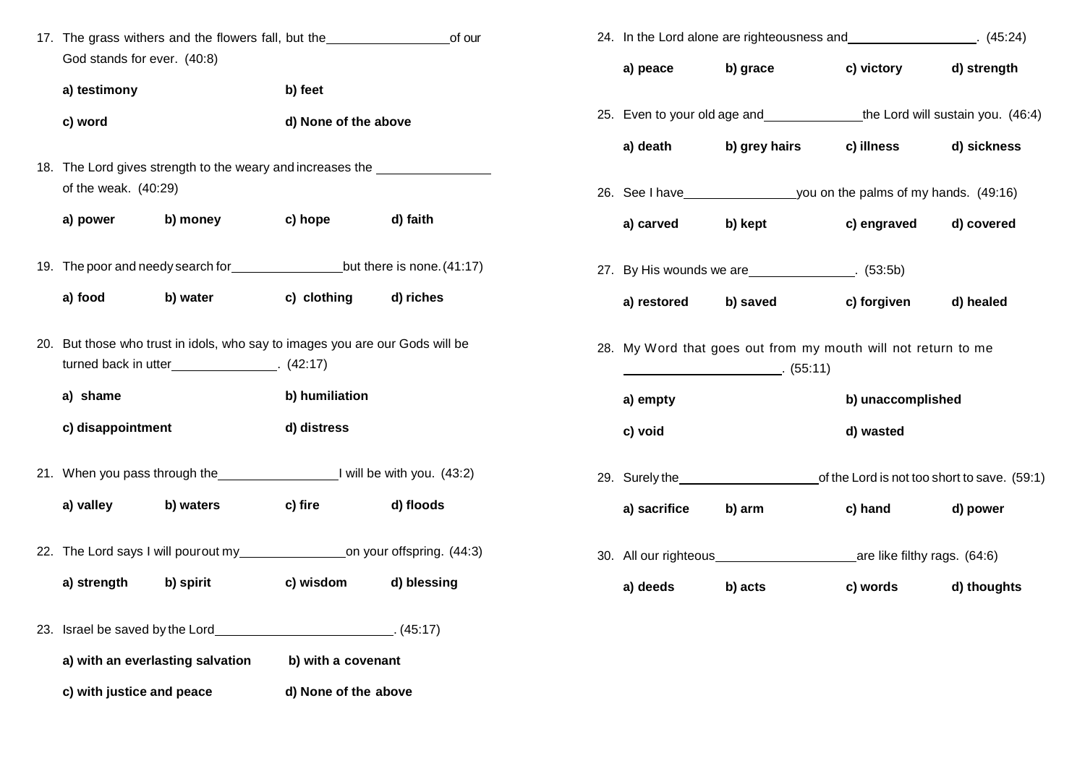| God stands for ever. (40:8)      |                                                                                                                               |                                 |             | a) peace     | b) grace                                                                 | c) victory        | d) stren |
|----------------------------------|-------------------------------------------------------------------------------------------------------------------------------|---------------------------------|-------------|--------------|--------------------------------------------------------------------------|-------------------|----------|
| a) testimony<br>c) word          |                                                                                                                               | b) feet<br>d) None of the above |             |              | 25. Even to your old age and the Lord will sustain you                   |                   |          |
|                                  |                                                                                                                               |                                 |             | a) death     | b) grey hairs                                                            | c) illness        | d) sickr |
| of the weak. (40:29)             | 18. The Lord gives strength to the weary and increases the                                                                    |                                 |             |              |                                                                          |                   |          |
|                                  |                                                                                                                               |                                 |             |              |                                                                          |                   |          |
| a) power                         | b) money                                                                                                                      | c) hope                         | d) faith    | a) carved    | b) kept                                                                  | c) engraved       | d) cove  |
|                                  |                                                                                                                               |                                 |             |              | 27. By His wounds we are ______________. (53:5b)                         |                   |          |
| a) food                          | b) water                                                                                                                      | c) clothing                     | d) riches   | a) restored  | b) saved                                                                 | c) forgiven       | d) heale |
|                                  | 20. But those who trust in idols, who say to images you are our Gods will be<br>turned back in utter________________. (42:17) |                                 |             |              | 28. My Word that goes out from my mouth will not return to me<br>(55:11) |                   |          |
| a) shame                         |                                                                                                                               | b) humiliation                  |             | a) empty     |                                                                          | b) unaccomplished |          |
| c) disappointment                |                                                                                                                               | d) distress                     |             | c) void      |                                                                          | d) wasted         |          |
|                                  | 21. When you pass through the 1980 and 1 will be with you. (43:2)                                                             |                                 |             |              | 29. Surely the contract of the Lord is not too short to save             |                   |          |
| a) valley                        | b) waters                                                                                                                     | c) fire                         | d) floods   | a) sacrifice | b) arm                                                                   | c) hand           | d) powe  |
|                                  | 22. The Lord says I will pourout my____________________on your offspring. (44:3)                                              |                                 |             |              |                                                                          |                   |          |
| a) strength                      | b) spirit                                                                                                                     | c) wisdom                       | d) blessing | a) deeds     | b) acts                                                                  | c) words          | d) thou  |
|                                  |                                                                                                                               |                                 |             |              |                                                                          |                   |          |
| a) with an everlasting salvation |                                                                                                                               | b) with a covenant              |             |              |                                                                          |                   |          |
| c) with justice and peace        |                                                                                                                               | d) None of the above            |             |              |                                                                          |                   |          |

|                     |                                                                                 | 24. In the Lord alone are righteousness and _________________. (45:24) |  |  |
|---------------------|---------------------------------------------------------------------------------|------------------------------------------------------------------------|--|--|
| a) peace b) grace   |                                                                                 | c) victory d) strength                                                 |  |  |
|                     | 25. Even to your old age and ________________the Lord will sustain you. (46:4)  |                                                                        |  |  |
|                     | a) death b) grey hairs c) illness d) sickness                                   |                                                                        |  |  |
|                     | 26. See I have you on the palms of my hands. (49:16)                            |                                                                        |  |  |
| a) carved b) kept   |                                                                                 | c) engraved d) covered                                                 |  |  |
|                     | 27. By His wounds we are _______________. (53:5b)                               |                                                                        |  |  |
|                     | a) restored b) saved c) forgiven d) healed                                      |                                                                        |  |  |
|                     | 28. My Word that goes out from my mouth will not return to me<br>$\sim$ (55:11) |                                                                        |  |  |
| a) empty            |                                                                                 | b) unaccomplished                                                      |  |  |
| c) void             |                                                                                 | d) wasted                                                              |  |  |
|                     | 29. Surely the the same of the Lord is not too short to save. (59:1)            |                                                                        |  |  |
| a) sacrifice b) arm |                                                                                 | c) hand d) power                                                       |  |  |
|                     |                                                                                 |                                                                        |  |  |
| a) deeds b) acts    |                                                                                 | c) words d) thoughts                                                   |  |  |